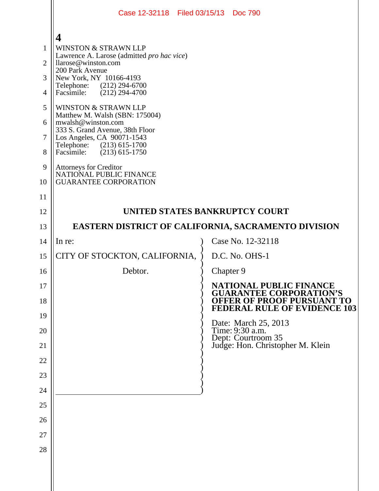|                | Case 12-32118 Filed 03/15/13 Doc 790                              |                                                                          |
|----------------|-------------------------------------------------------------------|--------------------------------------------------------------------------|
|                | 4                                                                 |                                                                          |
| $\mathbf{1}$   | <b>WINSTON &amp; STRAWN LLP</b>                                   |                                                                          |
| $\overline{2}$ | Lawrence A. Larose (admitted pro hac vice)<br>llarose@winston.com |                                                                          |
| 3              | 200 Park Avenue<br>New York, NY 10166-4193                        |                                                                          |
| $\overline{4}$ | Telephone: (212) 294-6700<br>$(212)$ 294-4700<br>Facsimile:       |                                                                          |
| 5              | <b>WINSTON &amp; STRAWN LLP</b>                                   |                                                                          |
| 6              | Matthew M. Walsh (SBN: 175004)<br>mwalsh@winston.com              |                                                                          |
| $\overline{7}$ | 333 S. Grand Avenue, 38th Floor<br>Los Angeles, CA 90071-1543     |                                                                          |
| 8              | Telephone: (213) 615-1700<br>Facsimile:<br>$(213)$ 615-1750       |                                                                          |
| 9              | Attorneys for Creditor<br>NATIONAL PUBLIC FINANCE                 |                                                                          |
| 10             | <b>GUARANTEE CORPORATION</b>                                      |                                                                          |
| 11             |                                                                   |                                                                          |
| 12             | UNITED STATES BANKRUPTCY COURT                                    |                                                                          |
| 13             | EASTERN DISTRICT OF CALIFORNIA, SACRAMENTO DIVISION               |                                                                          |
| 14             | In re:                                                            | Case No. 12-32118                                                        |
| 15             | CITY OF STOCKTON, CALIFORNIA,                                     | D.C. No. OHS-1                                                           |
| 16             | Debtor.                                                           | Chapter 9                                                                |
| 17             |                                                                   | NATIONAL PUBLIC FINANCE<br><b>GUARANTEE CORPORATION'S</b>                |
| 18             |                                                                   | <b>OFFER OF PROOF PURSUANT TO</b><br><b>FEDERAL RULE OF EVIDENCE 103</b> |
| 19             |                                                                   |                                                                          |
| 20             |                                                                   | Date: March 25, 2013<br>Time: 9:30 a.m.<br>Dept: Courtroom 35            |
| 21             |                                                                   | Judge: Hon. Christopher M. Klein                                         |
| 22             |                                                                   |                                                                          |
| 23             |                                                                   |                                                                          |
| 24             |                                                                   |                                                                          |
| 25             |                                                                   |                                                                          |
| 26             |                                                                   |                                                                          |
| 27             |                                                                   |                                                                          |
| 28             |                                                                   |                                                                          |
|                |                                                                   |                                                                          |
|                |                                                                   |                                                                          |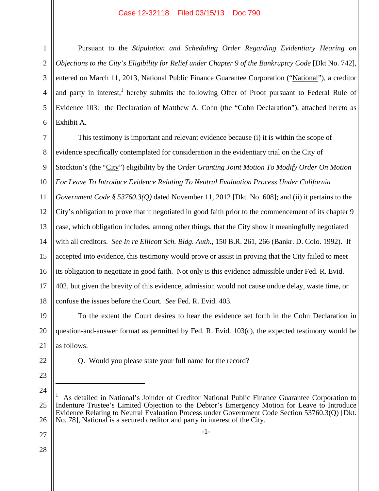## Case 12-32118 Filed 03/15/13 Doc 790

1

Pursuant to the *Stipulation and Scheduling Order Regarding Evidentiary Hearing on Objections to the City's Eligibility for Relief under Chapter 9 of the Bankruptcy Code* [Dkt No. 742], entered on March 11, 2013, National Public Finance Guarantee Corporation ("National"), a creditor and party in interest,<sup>1</sup> hereby submits the following Offer of Proof pursuant to Federal Rule of Evidence 103: the Declaration of Matthew A. Cohn (the "Cohn Declaration"), attached hereto as Exhibit A.

7 8 9 10 11 12 13 14 15 16 17 18 This testimony is important and relevant evidence because (i) it is within the scope of evidence specifically contemplated for consideration in the evidentiary trial on the City of Stockton's (the "City") eligibility by the *Order Granting Joint Motion To Modify Order On Motion For Leave To Introduce Evidence Relating To Neutral Evaluation Process Under California Government Code § 53760.3(Q)* dated November 11, 2012 [Dkt. No. 608]; and (ii) it pertains to the City's obligation to prove that it negotiated in good faith prior to the commencement of its chapter 9 case, which obligation includes, among other things, that the City show it meaningfully negotiated with all creditors. *See In re Ellicott Sch. Bldg. Auth.*, 150 B.R. 261, 266 (Bankr. D. Colo. 1992). If accepted into evidence, this testimony would prove or assist in proving that the City failed to meet its obligation to negotiate in good faith. Not only is this evidence admissible under Fed. R. Evid. 402, but given the brevity of this evidence, admission would not cause undue delay, waste time, or confuse the issues before the Court. *See* Fed. R. Evid. 403.

19 20 21 To the extent the Court desires to hear the evidence set forth in the Cohn Declaration in question-and-answer format as permitted by Fed. R. Evid. 103(c), the expected testimony would be as follows:

Q. Would you please state your full name for the record?

23 24

 $\overline{a}$ 

22

-1-

27 28

<sup>25</sup> 26 1 As detailed in National's Joinder of Creditor National Public Finance Guarantee Corporation to Indenture Trustee's Limited Objection to the Debtor's Emergency Motion for Leave to Introduce Evidence Relating to Neutral Evaluation Process under Government Code Section 53760.3(Q) [Dkt. No. 78], National is a secured creditor and party in interest of the City.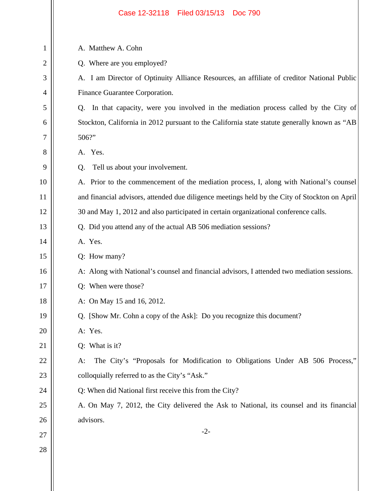|    | Filed 03/15/13<br>Case 12-32118<br><b>Doc 790</b>                                             |  |
|----|-----------------------------------------------------------------------------------------------|--|
|    |                                                                                               |  |
| 1  | A. Matthew A. Cohn                                                                            |  |
| 2  | Q. Where are you employed?                                                                    |  |
| 3  | A. I am Director of Optinuity Alliance Resources, an affiliate of creditor National Public    |  |
| 4  | Finance Guarantee Corporation.                                                                |  |
| 5  | In that capacity, were you involved in the mediation process called by the City of<br>Q.      |  |
| 6  | Stockton, California in 2012 pursuant to the California state statute generally known as "AB  |  |
| 7  | 506?"                                                                                         |  |
| 8  | A. Yes.                                                                                       |  |
| 9  | Tell us about your involvement.<br>Q.                                                         |  |
| 10 | A. Prior to the commencement of the mediation process, I, along with National's counsel       |  |
| 11 | and financial advisors, attended due diligence meetings held by the City of Stockton on April |  |
| 12 | 30 and May 1, 2012 and also participated in certain organizational conference calls.          |  |
| 13 | Q. Did you attend any of the actual AB 506 mediation sessions?                                |  |
| 14 | A. Yes.                                                                                       |  |
| 15 | Q: How many?                                                                                  |  |
| 16 | A: Along with National's counsel and financial advisors, I attended two mediation sessions.   |  |
| 17 | Q: When were those?                                                                           |  |
| 18 | A: On May 15 and 16, 2012.                                                                    |  |
| 19 | Q. [Show Mr. Cohn a copy of the Ask]: Do you recognize this document?                         |  |
| 20 | A: Yes.                                                                                       |  |
| 21 | Q: What is it?                                                                                |  |
| 22 | The City's "Proposals for Modification to Obligations Under AB 506 Process,"<br>A:            |  |
| 23 | colloquially referred to as the City's "Ask."                                                 |  |
| 24 | Q: When did National first receive this from the City?                                        |  |
| 25 | A. On May 7, 2012, the City delivered the Ask to National, its counsel and its financial      |  |
| 26 | advisors.                                                                                     |  |
| 27 | $-2-$                                                                                         |  |
| 28 |                                                                                               |  |
|    |                                                                                               |  |